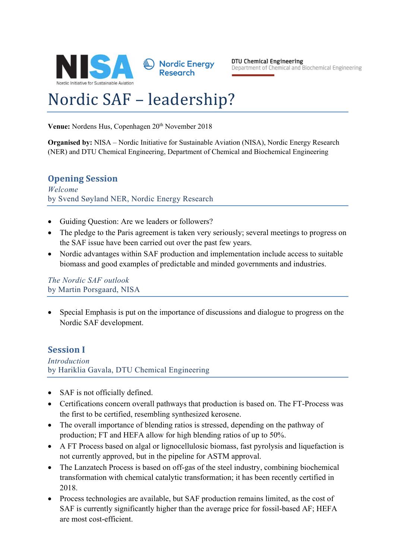

Nordic Energy **Research** 

DTU Chemical Engineering Department of Chemical and Biochemical Engineering

# Nordic SAF - leadership?

Venue: Nordens Hus, Copenhagen 20<sup>th</sup> November 2018

**Organised by:** NISA – Nordic Initiative for Sustainable Aviation (NISA), Nordic Energy Research (NER) and DTU Chemical Engineering, Department of Chemical and Biochemical Engineering

# **Opening Session**

*Welcome* by Svend Søyland NER, Nordic Energy Research

- Guiding Question: Are we leaders or followers?
- The pledge to the Paris agreement is taken very seriously; several meetings to progress on the SAF issue have been carried out over the past few years.
- Nordic advantages within SAF production and implementation include access to suitable biomass and good examples of predictable and minded governments and industries.

*The Nordic SAF outlook* by Martin Porsgaard, NISA

• Special Emphasis is put on the importance of discussions and dialogue to progress on the Nordic SAF development.

## **Session I**

*Introduction* by Hariklia Gavala, DTU Chemical Engineering

- SAF is not officially defined.
- Certifications concern overall pathways that production is based on. The FT-Process was the first to be certified, resembling synthesized kerosene.
- The overall importance of blending ratios is stressed, depending on the pathway of production; FT and HEFA allow for high blending ratios of up to 50%.
- A FT Process based on algal or lignocellulosic biomass, fast pyrolysis and liquefaction is not currently approved, but in the pipeline for ASTM approval.
- The Lanzatech Process is based on off-gas of the steel industry, combining biochemical transformation with chemical catalytic transformation; it has been recently certified in 2018.
- Process technologies are available, but SAF production remains limited, as the cost of SAF is currently significantly higher than the average price for fossil-based AF; HEFA are most cost-efficient.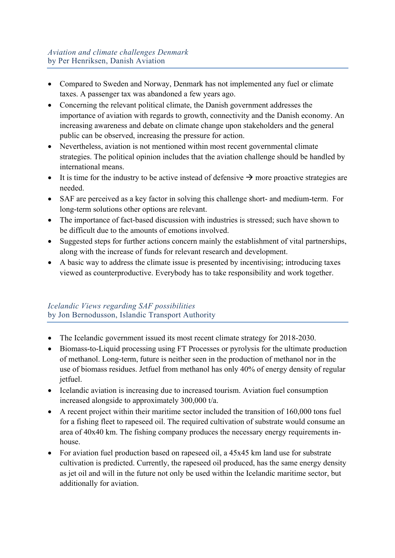- Compared to Sweden and Norway, Denmark has not implemented any fuel or climate taxes. A passenger tax was abandoned a few years ago.
- Concerning the relevant political climate, the Danish government addresses the importance of aviation with regards to growth, connectivity and the Danish economy. An increasing awareness and debate on climate change upon stakeholders and the general public can be observed, increasing the pressure for action.
- Nevertheless, aviation is not mentioned within most recent governmental climate strategies. The political opinion includes that the aviation challenge should be handled by international means.
- It is time for the industry to be active instead of defensive  $\rightarrow$  more proactive strategies are needed.
- SAF are perceived as a key factor in solving this challenge short- and medium-term. For long-term solutions other options are relevant.
- The importance of fact-based discussion with industries is stressed; such have shown to be difficult due to the amounts of emotions involved.
- Suggested steps for further actions concern mainly the establishment of vital partnerships, along with the increase of funds for relevant research and development.
- A basic way to address the climate issue is presented by incentivising; introducing taxes viewed as counterproductive. Everybody has to take responsibility and work together.

## *Icelandic Views regarding SAF possibilities* by Jon Bernodusson, Islandic Transport Authority

- The Icelandic government issued its most recent climate strategy for 2018-2030.
- Biomass-to-Liquid processing using FT Processes or pyrolysis for the ultimate production of methanol. Long-term, future is neither seen in the production of methanol nor in the use of biomass residues. Jetfuel from methanol has only 40% of energy density of regular jetfuel.
- Icelandic aviation is increasing due to increased tourism. Aviation fuel consumption increased alongside to approximately 300,000 t/a.
- A recent project within their maritime sector included the transition of 160,000 tons fuel for a fishing fleet to rapeseed oil. The required cultivation of substrate would consume an area of 40x40 km. The fishing company produces the necessary energy requirements inhouse.
- For aviation fuel production based on rapeseed oil, a 45x45 km land use for substrate cultivation is predicted. Currently, the rapeseed oil produced, has the same energy density as jet oil and will in the future not only be used within the Icelandic maritime sector, but additionally for aviation.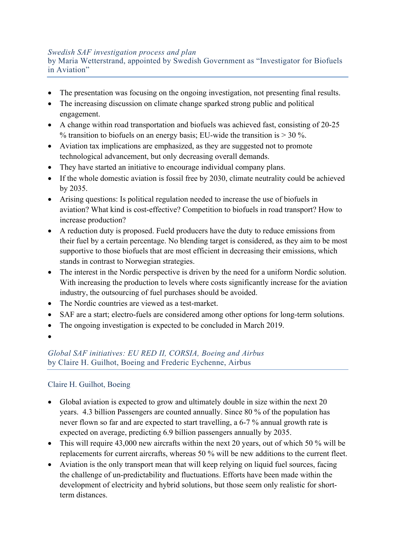#### *Swedish SAF investigation process and plan*

by Maria Wetterstrand, appointed by Swedish Government as "Investigator for Biofuels in Aviation"

- The presentation was focusing on the ongoing investigation, not presenting final results.
- The increasing discussion on climate change sparked strong public and political engagement.
- A change within road transportation and biofuels was achieved fast, consisting of 20-25 % transition to biofuels on an energy basis; EU-wide the transition is  $> 30$  %.
- Aviation tax implications are emphasized, as they are suggested not to promote technological advancement, but only decreasing overall demands.
- They have started an initiative to encourage individual company plans.
- If the whole domestic aviation is fossil free by 2030, climate neutrality could be achieved by 2035.
- Arising questions: Is political regulation needed to increase the use of biofuels in aviation? What kind is cost-effective? Competition to biofuels in road transport? How to increase production?
- A reduction duty is proposed. Fueld producers have the duty to reduce emissions from their fuel by a certain percentage. No blending target is considered, as they aim to be most supportive to those biofuels that are most efficient in decreasing their emissions, which stands in contrast to Norwegian strategies.
- The interest in the Nordic perspective is driven by the need for a uniform Nordic solution. With increasing the production to levels where costs significantly increase for the aviation industry, the outsourcing of fuel purchases should be avoided.
- The Nordic countries are viewed as a test-market.
- SAF are a start; electro-fuels are considered among other options for long-term solutions.
- The ongoing investigation is expected to be concluded in March 2019.
- •

## *Global SAF initiatives: EU RED II, CORSIA, Boeing and Airbus* by Claire H. Guilhot, Boeing and Frederic Eychenne, Airbus

## Claire H. Guilhot, Boeing

- Global aviation is expected to grow and ultimately double in size within the next 20 years. 4.3 billion Passengers are counted annually. Since 80 % of the population has never flown so far and are expected to start travelling, a 6-7 % annual growth rate is expected on average, predicting 6.9 billion passengers annually by 2035.
- This will require 43,000 new aircrafts within the next 20 years, out of which 50 % will be replacements for current aircrafts, whereas 50 % will be new additions to the current fleet.
- Aviation is the only transport mean that will keep relying on liquid fuel sources, facing the challenge of un-predictability and fluctuations. Efforts have been made within the development of electricity and hybrid solutions, but those seem only realistic for shortterm distances.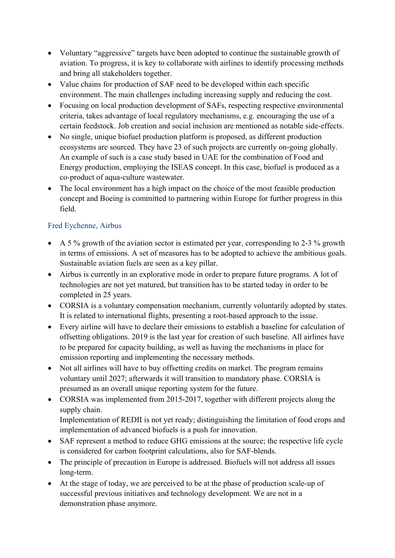- Voluntary "aggressive" targets have been adopted to continue the sustainable growth of aviation. To progress, it is key to collaborate with airlines to identify processing methods and bring all stakeholders together.
- Value chains for production of SAF need to be developed within each specific environment. The main challenges including increasing supply and reducing the cost.
- Focusing on local production development of SAFs, respecting respective environmental criteria, takes advantage of local regulatory mechanisms, e.g. encouraging the use of a certain feedstock. Job creation and social inclusion are mentioned as notable side-effects.
- No single, unique biofuel production platform is proposed, as different production ecosystems are sourced. They have 23 of such projects are currently on-going globally. An example of such is a case study based in UAE for the combination of Food and Energy production, employing the ISEAS concept. In this case, biofuel is produced as a co-product of aqua-culture wastewater.
- The local environment has a high impact on the choice of the most feasible production concept and Boeing is committed to partnering within Europe for further progress in this field.

## Fred Eychenne, Airbus

- A 5 % growth of the aviation sector is estimated per year, corresponding to 2-3 % growth in terms of emissions. A set of measures has to be adopted to achieve the ambitious goals. Sustainable aviation fuels are seen as a key pillar.
- Airbus is currently in an explorative mode in order to prepare future programs. A lot of technologies are not yet matured, but transition has to be started today in order to be completed in 25 years.
- CORSIA is a voluntary compensation mechanism, currently voluntarily adopted by states. It is related to international flights, presenting a root-based approach to the issue.
- Every airline will have to declare their emissions to establish a baseline for calculation of offsetting obligations. 2019 is the last year for creation of such baseline. All airlines have to be prepared for capacity building, as well as having the mechanisms in place for emission reporting and implementing the necessary methods.
- Not all airlines will have to buy offsetting credits on market. The program remains voluntary until 2027; afterwards it will transition to mandatory phase. CORSIA is presumed as an overall unique reporting system for the future.
- CORSIA was implemented from 2015-2017, together with different projects along the supply chain.

Implementation of REDII is not yet ready; distinguishing the limitation of food crops and implementation of advanced biofuels is a push for innovation.

- SAF represent a method to reduce GHG emissions at the source; the respective life cycle is considered for carbon footprint calculations, also for SAF-blends.
- The principle of precaution in Europe is addressed. Biofuels will not address all issues long-term.
- At the stage of today, we are perceived to be at the phase of production scale-up of successful previous initiatives and technology development. We are not in a demonstration phase anymore.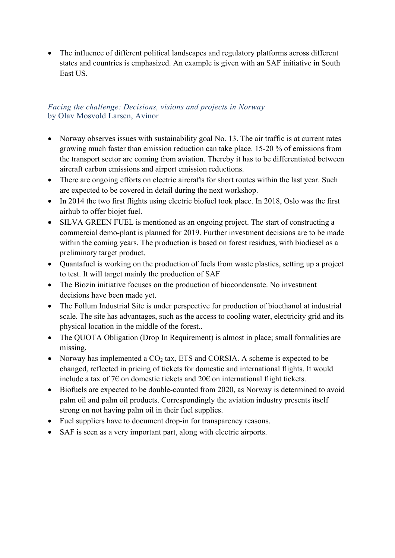• The influence of different political landscapes and regulatory platforms across different states and countries is emphasized. An example is given with an SAF initiative in South East US.

#### *Facing the challenge: Decisions, visions and projects in Norway* by Olav Mosvold Larsen, Avinor

- Norway observes issues with sustainability goal No. 13. The air traffic is at current rates growing much faster than emission reduction can take place. 15-20 % of emissions from the transport sector are coming from aviation. Thereby it has to be differentiated between aircraft carbon emissions and airport emission reductions.
- There are ongoing efforts on electric aircrafts for short routes within the last year. Such are expected to be covered in detail during the next workshop.
- In 2014 the two first flights using electric biofuel took place. In 2018, Oslo was the first airhub to offer biojet fuel.
- SILVA GREEN FUEL is mentioned as an ongoing project. The start of constructing a commercial demo-plant is planned for 2019. Further investment decisions are to be made within the coming years. The production is based on forest residues, with biodiesel as a preliminary target product.
- Quantafuel is working on the production of fuels from waste plastics, setting up a project to test. It will target mainly the production of SAF
- The Biozin initiative focuses on the production of biocondensate. No investment decisions have been made yet.
- The Follum Industrial Site is under perspective for production of bioethanol at industrial scale. The site has advantages, such as the access to cooling water, electricity grid and its physical location in the middle of the forest..
- The OUOTA Obligation (Drop In Requirement) is almost in place; small formalities are missing.
- Norway has implemented a  $CO<sub>2</sub>$  tax, ETS and CORSIA. A scheme is expected to be changed, reflected in pricing of tickets for domestic and international flights. It would include a tax of 7 $\epsilon$  on domestic tickets and 20 $\epsilon$  on international flight tickets.
- Biofuels are expected to be double-counted from 2020, as Norway is determined to avoid palm oil and palm oil products. Correspondingly the aviation industry presents itself strong on not having palm oil in their fuel supplies.
- Fuel suppliers have to document drop-in for transparency reasons.
- SAF is seen as a very important part, along with electric airports.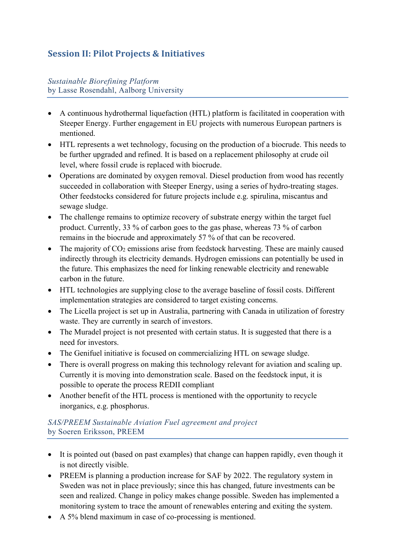# **Session II: Pilot Projects & Initiatives**

## *Sustainable Biorefining Platform* by Lasse Rosendahl, Aalborg University

- A continuous hydrothermal liquefaction (HTL) platform is facilitated in cooperation with Steeper Energy. Further engagement in EU projects with numerous European partners is mentioned.
- HTL represents a wet technology, focusing on the production of a biocrude. This needs to be further upgraded and refined. It is based on a replacement philosophy at crude oil level, where fossil crude is replaced with biocrude.
- Operations are dominated by oxygen removal. Diesel production from wood has recently succeeded in collaboration with Steeper Energy, using a series of hydro-treating stages. Other feedstocks considered for future projects include e.g. spirulina, miscantus and sewage sludge.
- The challenge remains to optimize recovery of substrate energy within the target fuel product. Currently, 33 % of carbon goes to the gas phase, whereas 73 % of carbon remains in the biocrude and approximately 57 % of that can be recovered.
- The majority of  $CO<sub>2</sub>$  emissions arise from feedstock harvesting. These are mainly caused indirectly through its electricity demands. Hydrogen emissions can potentially be used in the future. This emphasizes the need for linking renewable electricity and renewable carbon in the future.
- HTL technologies are supplying close to the average baseline of fossil costs. Different implementation strategies are considered to target existing concerns.
- The Licella project is set up in Australia, partnering with Canada in utilization of forestry waste. They are currently in search of investors.
- The Muradel project is not presented with certain status. It is suggested that there is a need for investors.
- The Genifuel initiative is focused on commercializing HTL on sewage sludge.
- There is overall progress on making this technology relevant for aviation and scaling up. Currently it is moving into demonstration scale. Based on the feedstock input, it is possible to operate the process REDII compliant
- Another benefit of the HTL process is mentioned with the opportunity to recycle inorganics, e.g. phosphorus.

## *SAS/PREEM Sustainable Aviation Fuel agreement and project* by Soeren Eriksson, PREEM

- It is pointed out (based on past examples) that change can happen rapidly, even though it is not directly visible.
- PREEM is planning a production increase for SAF by 2022. The regulatory system in Sweden was not in place previously; since this has changed, future investments can be seen and realized. Change in policy makes change possible. Sweden has implemented a monitoring system to trace the amount of renewables entering and exiting the system.
- A 5% blend maximum in case of co-processing is mentioned.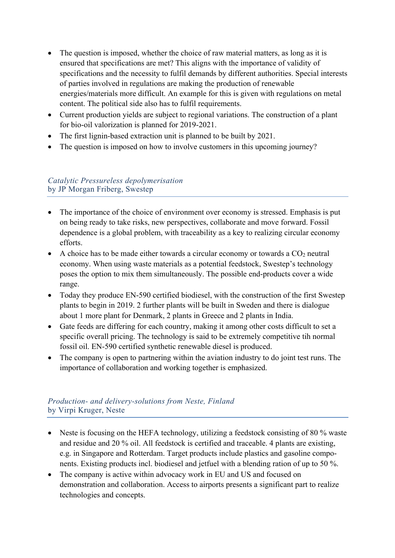- The question is imposed, whether the choice of raw material matters, as long as it is ensured that specifications are met? This aligns with the importance of validity of specifications and the necessity to fulfil demands by different authorities. Special interests of parties involved in regulations are making the production of renewable energies/materials more difficult. An example for this is given with regulations on metal content. The political side also has to fulfil requirements.
- Current production yields are subject to regional variations. The construction of a plant for bio-oil valorization is planned for 2019-2021.
- The first lignin-based extraction unit is planned to be built by 2021.
- The question is imposed on how to involve customers in this upcoming journey?

## *Catalytic Pressureless depolymerisation* by JP Morgan Friberg, Swestep

- The importance of the choice of environment over economy is stressed. Emphasis is put on being ready to take risks, new perspectives, collaborate and move forward. Fossil dependence is a global problem, with traceability as a key to realizing circular economy efforts.
- A choice has to be made either towards a circular economy or towards a  $CO<sub>2</sub>$  neutral economy. When using waste materials as a potential feedstock, Swestep's technology poses the option to mix them simultaneously. The possible end-products cover a wide range.
- Today they produce EN-590 certified biodiesel, with the construction of the first Swestep plants to begin in 2019. 2 further plants will be built in Sweden and there is dialogue about 1 more plant for Denmark, 2 plants in Greece and 2 plants in India.
- Gate feeds are differing for each country, making it among other costs difficult to set a specific overall pricing. The technology is said to be extremely competitive tih normal fossil oil. EN-590 certified synthetic renewable diesel is produced.
- The company is open to partnering within the aviation industry to do joint test runs. The importance of collaboration and working together is emphasized.

## *Production- and delivery-solutions from Neste, Finland*  by Virpi Kruger, Neste

- Neste is focusing on the HEFA technology, utilizing a feedstock consisting of 80 % waste and residue and 20 % oil. All feedstock is certified and traceable. 4 plants are existing, e.g. in Singapore and Rotterdam. Target products include plastics and gasoline components. Existing products incl. biodiesel and jetfuel with a blending ration of up to 50 %.
- The company is active within advocacy work in EU and US and focused on demonstration and collaboration. Access to airports presents a significant part to realize technologies and concepts.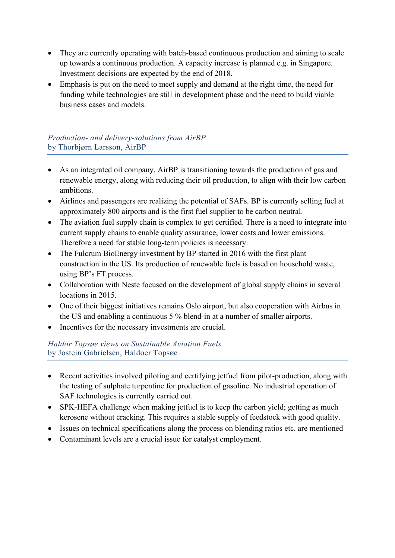- They are currently operating with batch-based continuous production and aiming to scale up towards a continuous production. A capacity increase is planned e.g. in Singapore. Investment decisions are expected by the end of 2018.
- Emphasis is put on the need to meet supply and demand at the right time, the need for funding while technologies are still in development phase and the need to build viable business cases and models.

## *Production- and delivery-solutions from AirBP*  by Thorbjørn Larsson, AirBP

- As an integrated oil company, AirBP is transitioning towards the production of gas and renewable energy, along with reducing their oil production, to align with their low carbon ambitions.
- Airlines and passengers are realizing the potential of SAFs. BP is currently selling fuel at approximately 800 airports and is the first fuel supplier to be carbon neutral.
- The aviation fuel supply chain is complex to get certified. There is a need to integrate into current supply chains to enable quality assurance, lower costs and lower emissions. Therefore a need for stable long-term policies is necessary.
- The Fulcrum BioEnergy investment by BP started in 2016 with the first plant construction in the US. Its production of renewable fuels is based on household waste, using BP's FT process.
- Collaboration with Neste focused on the development of global supply chains in several locations in 2015.
- One of their biggest initiatives remains Oslo airport, but also cooperation with Airbus in the US and enabling a continuous 5 % blend-in at a number of smaller airports.
- Incentives for the necessary investments are crucial.

## *Haldor Topsøe views on Sustainable Aviation Fuels* by Jostein Gabrielsen, Haldoer Topsøe

- Recent activities involved piloting and certifying jetfuel from pilot-production, along with the testing of sulphate turpentine for production of gasoline. No industrial operation of SAF technologies is currently carried out.
- SPK-HEFA challenge when making jetfuel is to keep the carbon yield; getting as much kerosene without cracking. This requires a stable supply of feedstock with good quality.
- Issues on technical specifications along the process on blending ratios etc. are mentioned
- Contaminant levels are a crucial issue for catalyst employment.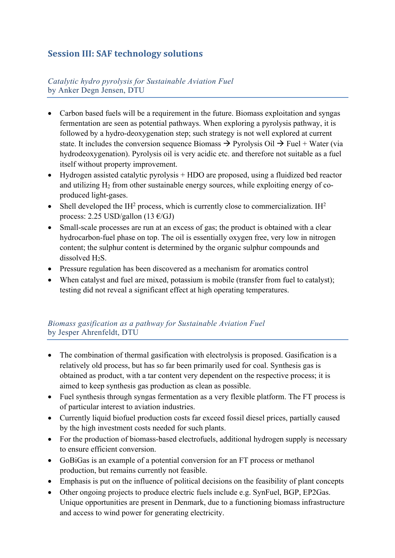# **Session III: SAF technology solutions**

## *Catalytic hydro pyrolysis for Sustainable Aviation Fuel* by Anker Degn Jensen, DTU

- Carbon based fuels will be a requirement in the future. Biomass exploitation and syngas fermentation are seen as potential pathways. When exploring a pyrolysis pathway, it is followed by a hydro-deoxygenation step; such strategy is not well explored at current state. It includes the conversion sequence Biomass  $\rightarrow$  Pyrolysis Oil  $\rightarrow$  Fuel + Water (via hydrodeoxygenation). Pyrolysis oil is very acidic etc. and therefore not suitable as a fuel itself without property improvement.
- Hydrogen assisted catalytic pyrolysis + HDO are proposed, using a fluidized bed reactor and utilizing  $H_2$  from other sustainable energy sources, while exploiting energy of coproduced light-gases.
- Shell developed the IH<sup>2</sup> process, which is currently close to commercialization. IH<sup>2</sup> process: 2.25 USD/gallon (13  $\epsilon$ /GJ)
- Small-scale processes are run at an excess of gas; the product is obtained with a clear hydrocarbon-fuel phase on top. The oil is essentially oxygen free, very low in nitrogen content; the sulphur content is determined by the organic sulphur compounds and dissolved H<sub>2</sub>S.
- Pressure regulation has been discovered as a mechanism for aromatics control
- When catalyst and fuel are mixed, potassium is mobile (transfer from fuel to catalyst); testing did not reveal a significant effect at high operating temperatures.

## *Biomass gasification as a pathway for Sustainable Aviation Fuel* by Jesper Ahrenfeldt, DTU

- The combination of thermal gasification with electrolysis is proposed. Gasification is a relatively old process, but has so far been primarily used for coal. Synthesis gas is obtained as product, with a tar content very dependent on the respective process; it is aimed to keep synthesis gas production as clean as possible.
- Fuel synthesis through syngas fermentation as a very flexible platform. The FT process is of particular interest to aviation industries.
- Currently liquid biofuel production costs far exceed fossil diesel prices, partially caused by the high investment costs needed for such plants.
- For the production of biomass-based electrofuels, additional hydrogen supply is necessary to ensure efficient conversion.
- GoBiGas is an example of a potential conversion for an FT process or methanol production, but remains currently not feasible.
- Emphasis is put on the influence of political decisions on the feasibility of plant concepts
- Other ongoing projects to produce electric fuels include e.g. SynFuel, BGP, EP2Gas. Unique opportunities are present in Denmark, due to a functioning biomass infrastructure and access to wind power for generating electricity.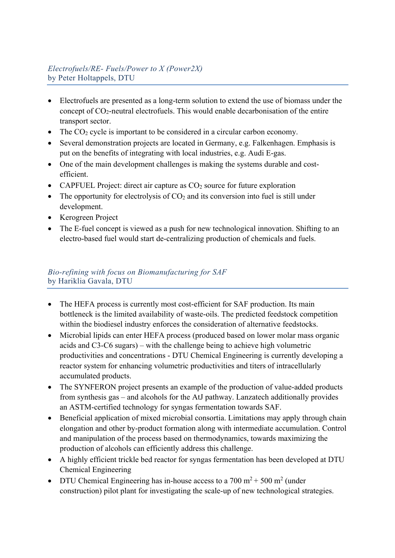# *Electrofuels/RE- Fuels/Power to X (Power2X)* by Peter Holtappels, DTU

- Electrofuels are presented as a long-term solution to extend the use of biomass under the concept of  $CO_2$ -neutral electrofuels. This would enable decarbonisation of the entire transport sector.
- The  $CO<sub>2</sub>$  cycle is important to be considered in a circular carbon economy.
- Several demonstration projects are located in Germany, e.g. Falkenhagen. Emphasis is put on the benefits of integrating with local industries, e.g. Audi E-gas.
- One of the main development challenges is making the systems durable and costefficient.
- CAPFUEL Project: direct air capture as  $CO<sub>2</sub>$  source for future exploration
- The opportunity for electrolysis of  $CO<sub>2</sub>$  and its conversion into fuel is still under development.
- Kerogreen Project
- The E-fuel concept is viewed as a push for new technological innovation. Shifting to an electro-based fuel would start de-centralizing production of chemicals and fuels.

## *Bio-refining with focus on Biomanufacturing for SAF* by Hariklia Gavala, DTU

- The HEFA process is currently most cost-efficient for SAF production. Its main bottleneck is the limited availability of waste-oils. The predicted feedstock competition within the biodiesel industry enforces the consideration of alternative feedstocks.
- Microbial lipids can enter HEFA process (produced based on lower molar mass organic acids and C3-C6 sugars) – with the challenge being to achieve high volumetric productivities and concentrations - DTU Chemical Engineering is currently developing a reactor system for enhancing volumetric productivities and titers of intracellularly accumulated products.
- The SYNFERON project presents an example of the production of value-added products from synthesis gas – and alcohols for the AtJ pathway. Lanzatech additionally provides an ASTM-certified technology for syngas fermentation towards SAF.
- Beneficial application of mixed microbial consortia. Limitations may apply through chain elongation and other by-product formation along with intermediate accumulation. Control and manipulation of the process based on thermodynamics, towards maximizing the production of alcohols can efficiently address this challenge.
- A highly efficient trickle bed reactor for syngas fermentation has been developed at DTU Chemical Engineering
- DTU Chemical Engineering has in-house access to a  $700 \text{ m}^2 + 500 \text{ m}^2$  (under construction) pilot plant for investigating the scale-up of new technological strategies.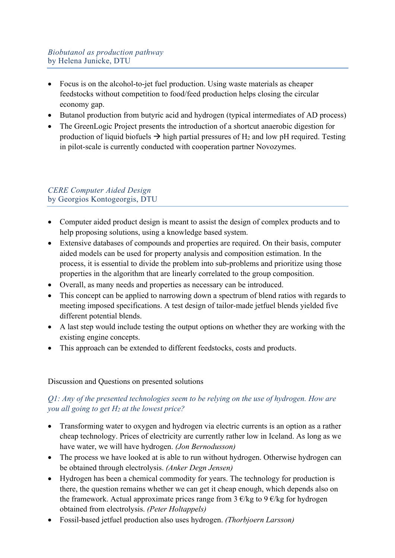- Focus is on the alcohol-to-jet fuel production. Using waste materials as cheaper feedstocks without competition to food/feed production helps closing the circular economy gap.
- Butanol production from butyric acid and hydrogen (typical intermediates of AD process)
- The GreenLogic Project presents the introduction of a shortcut anaerobic digestion for production of liquid biofuels  $\rightarrow$  high partial pressures of H<sub>2</sub> and low pH required. Testing in pilot-scale is currently conducted with cooperation partner Novozymes.

## *CERE Computer Aided Design* by Georgios Kontogeorgis, DTU

- Computer aided product design is meant to assist the design of complex products and to help proposing solutions, using a knowledge based system.
- Extensive databases of compounds and properties are required. On their basis, computer aided models can be used for property analysis and composition estimation. In the process, it is essential to divide the problem into sub-problems and prioritize using those properties in the algorithm that are linearly correlated to the group composition.
- Overall, as many needs and properties as necessary can be introduced.
- This concept can be applied to narrowing down a spectrum of blend ratios with regards to meeting imposed specifications. A test design of tailor-made jetfuel blends yielded five different potential blends.
- A last step would include testing the output options on whether they are working with the existing engine concepts.
- This approach can be extended to different feedstocks, costs and products.

## Discussion and Questions on presented solutions

## *Q1: Any of the presented technologies seem to be relying on the use of hydrogen. How are you all going to get H2 at the lowest price?*

- Transforming water to oxygen and hydrogen via electric currents is an option as a rather cheap technology. Prices of electricity are currently rather low in Iceland. As long as we have water, we will have hydrogen. *(Jon Bernodusson)*
- The process we have looked at is able to run without hydrogen. Otherwise hydrogen can be obtained through electrolysis. *(Anker Degn Jensen)*
- Hydrogen has been a chemical commodity for years. The technology for production is there, the question remains whether we can get it cheap enough, which depends also on the framework. Actual approximate prices range from  $3 \epsilon$ /kg to 9 $\epsilon$ /kg for hydrogen obtained from electrolysis. *(Peter Holtappels)*
- Fossil-based jetfuel production also uses hydrogen. *(Thorbjoern Larsson)*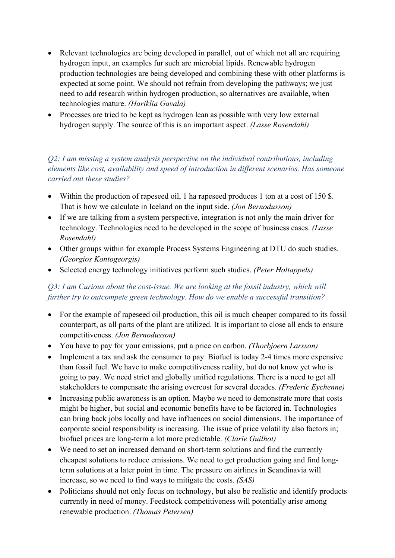- Relevant technologies are being developed in parallel, out of which not all are requiring hydrogen input, an examples fur such are microbial lipids. Renewable hydrogen production technologies are being developed and combining these with other platforms is expected at some point. We should not refrain from developing the pathways; we just need to add research within hydrogen production, so alternatives are available, when technologies mature. *(Hariklia Gavala)*
- Processes are tried to be kept as hydrogen lean as possible with very low external hydrogen supply. The source of this is an important aspect. *(Lasse Rosendahl)*

## *Q2: I am missing a system analysis perspective on the individual contributions, including elements like cost, availability and speed of introduction in different scenarios. Has someone carried out these studies?*

- Within the production of rapeseed oil, 1 ha rapeseed produces 1 ton at a cost of 150 \$. That is how we calculate in Iceland on the input side. *(Jon Bernodusson)*
- If we are talking from a system perspective, integration is not only the main driver for technology. Technologies need to be developed in the scope of business cases. *(Lasse Rosendahl)*
- Other groups within for example Process Systems Engineering at DTU do such studies. *(Georgios Kontogeorgis)*
- Selected energy technology initiatives perform such studies. *(Peter Holtappels)*

# *Q3: I am Curious about the cost-issue. We are looking at the fossil industry, which will further try to outcompete green technology. How do we enable a successful transition?*

- For the example of rapeseed oil production, this oil is much cheaper compared to its fossil counterpart, as all parts of the plant are utilized. It is important to close all ends to ensure competitiveness. *(Jon Bernodusson)*
- You have to pay for your emissions, put a price on carbon. *(Thorbjoern Larsson)*
- Implement a tax and ask the consumer to pay. Biofuel is today 2-4 times more expensive than fossil fuel. We have to make competitiveness reality, but do not know yet who is going to pay. We need strict and globally unified regulations. There is a need to get all stakeholders to compensate the arising overcost for several decades. *(Frederic Eychenne)*
- Increasing public awareness is an option. Maybe we need to demonstrate more that costs might be higher, but social and economic benefits have to be factored in. Technologies can bring back jobs locally and have influences on social dimensions. The importance of corporate social responsibility is increasing. The issue of price volatility also factors in; biofuel prices are long-term a lot more predictable. *(Clarie Guilhot)*
- We need to set an increased demand on short-term solutions and find the currently cheapest solutions to reduce emissions. We need to get production going and find longterm solutions at a later point in time. The pressure on airlines in Scandinavia will increase, so we need to find ways to mitigate the costs. *(SAS)*
- Politicians should not only focus on technology, but also be realistic and identify products currently in need of money. Feedstock competitiveness will potentially arise among renewable production. *(Thomas Petersen)*